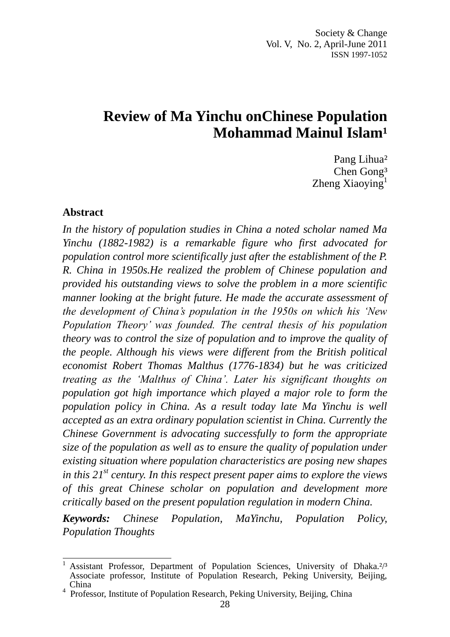# **Review of Ma Yinchu onChinese Population Mohammad Mainul Islam<sup>1</sup>**

Pang Lihua² Chen Gong<sup>3</sup> Zheng Xiaoying $<sup>1</sup>$ </sup>

#### **Abstract**

*In the history of population studies in China a noted scholar named Ma Yinchu (1882-1982) is a remarkable figure who first advocated for population control more scientifically just after the establishment of the P. R. China in 1950s.He realized the problem of Chinese population and provided his outstanding views to solve the problem in a more scientific manner looking at the bright future. He made the accurate assessment of the development of China"s population in the 1950s on which his "New Population Theory" was founded. The central thesis of his population theory was to control the size of population and to improve the quality of the people. Although his views were different from the British political economist Robert Thomas Malthus (1776-1834) but he was criticized treating as the "Malthus of China". Later his significant thoughts on population got high importance which played a major role to form the population policy in China. As a result today late Ma Yinchu is well accepted as an extra ordinary population scientist in China. Currently the Chinese Government is advocating successfully to form the appropriate size of the population as well as to ensure the quality of population under existing situation where population characteristics are posing new shapes in this 21st century. In this respect present paper aims to explore the views of this great Chinese scholar on population and development more critically based on the present population regulation in modern China.*

*Keywords: Chinese Population, MaYinchu, Population Policy, Population Thoughts*

 $\overline{a}$ Assistant Professor, Department of Population Sciences, University of Dhaka.<sup>2/3</sup> Associate professor, Institute of Population Research, Peking University, Beijing, China

<sup>4</sup>Professor, Institute of Population Research, Peking University, Beijing, China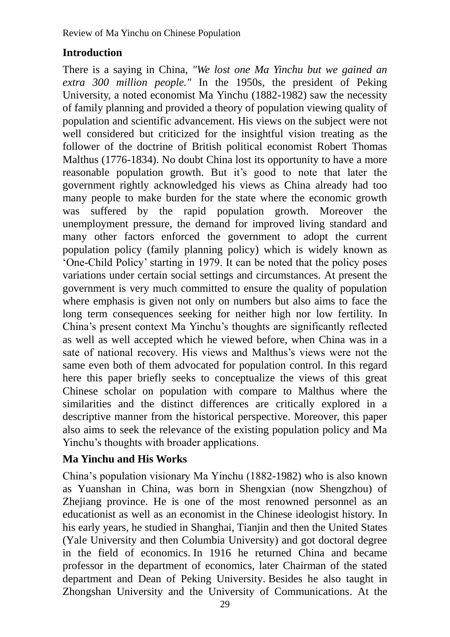## **Introduction**

There is a saying in China, *"We lost one Ma Yinchu but we gained an extra 300 million people."* In the 1950s, the president of Peking University, a noted economist Ma Yinchu (1882-1982) saw the necessity of family planning and provided a theory of population viewing quality of population and scientific advancement. His views on the subject were not well considered but criticized for the insightful vision treating as the follower of the doctrine of British political economist Robert Thomas Malthus (1776-1834). No doubt China lost its opportunity to have a more reasonable population growth. But it's good to note that later the government rightly acknowledged his views as China already had too many people to make burden for the state where the economic growth was suffered by the rapid population growth. Moreover the unemployment pressure, the demand for improved living standard and many other factors enforced the government to adopt the current population policy (family planning policy) which is widely known as "One-Child Policy" starting in 1979. It can be noted that the policy poses variations under certain social settings and circumstances. At present the government is very much committed to ensure the quality of population where emphasis is given not only on numbers but also aims to face the long term consequences seeking for neither high nor low fertility. In China"s present context Ma Yinchu"s thoughts are significantly reflected as well as well accepted which he viewed before, when China was in a sate of national recovery. His views and Malthus"s views were not the same even both of them advocated for population control. In this regard here this paper briefly seeks to conceptualize the views of this great Chinese scholar on population with compare to Malthus where the similarities and the distinct differences are critically explored in a descriptive manner from the historical perspective. Moreover, this paper also aims to seek the relevance of the existing population policy and Ma Yinchu"s thoughts with broader applications.

### **Ma Yinchu and His Works**

China"s population visionary Ma Yinchu (1882-1982) who is also known as Yuanshan in China, was born in Shengxian (now Shengzhou) of Zhejiang province. He is one of the most renowned personnel as an educationist as well as an economist in the Chinese ideologist history. In his early years, he studied in Shanghai, Tianjin and then the United States (Yale University and then Columbia University) and got doctoral degree in the field of economics. In 1916 he returned China and became professor in the department of economics, later Chairman of the stated department and Dean of Peking University. Besides he also taught in Zhongshan University and the University of Communications. At the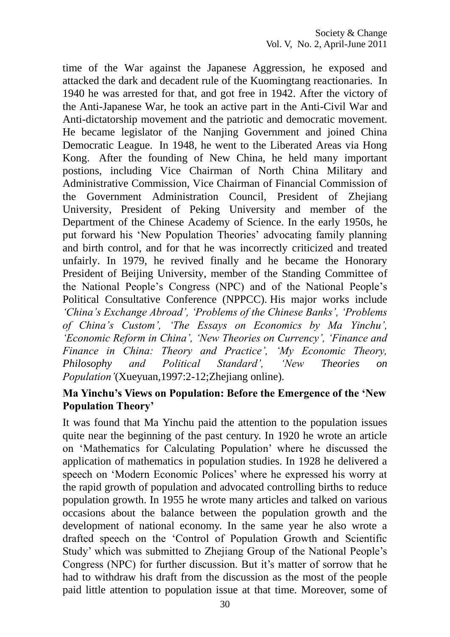time of the War against the Japanese Aggression, he exposed and attacked the dark and decadent rule of the Kuomingtang reactionaries. In 1940 he was arrested for that, and got free in 1942. After the victory of the Anti-Japanese War, he took an active part in the Anti-Civil War and Anti-dictatorship movement and the patriotic and democratic movement. He became legislator of the Nanjing Government and joined China Democratic League. In 1948, he went to the Liberated Areas via Hong Kong. After the founding of New China, he held many important postions, including Vice Chairman of North China Military and Administrative Commission, Vice Chairman of Financial Commission of the Government Administration Council, President of Zhejiang University, President of Peking University and member of the Department of the Chinese Academy of Science. In the early 1950s, he put forward his "New Population Theories" advocating family planning and birth control, and for that he was incorrectly criticized and treated unfairly. In 1979, he revived finally and he became the Honorary President of Beijing University, member of the Standing Committee of the National People"s Congress (NPC) and of the National People"s Political Consultative Conference (NPPCC). His major works include *"China"s Exchange Abroad", "Problems of the Chinese Banks", "Problems of China"s Custom", "The Essays on Economics by Ma Yinchu", "Economic Reform in China", "New Theories on Currency", "Finance and Finance in China: Theory and Practice", "My Economic Theory, Philosophy and Political Standard", "New Theories on Population"*(Xueyuan,1997:2-12;Zhejiang online)*.*

#### **Ma Yinchu's Views on Population: Before the Emergence of the 'New Population Theory'**

It was found that Ma Yinchu paid the attention to the population issues quite near the beginning of the past century. In 1920 he wrote an article on "Mathematics for Calculating Population" where he discussed the application of mathematics in population studies. In 1928 he delivered a speech on 'Modern Economic Polices' where he expressed his worry at the rapid growth of population and advocated controlling births to reduce population growth. In 1955 he wrote many articles and talked on various occasions about the balance between the population growth and the development of national economy. In the same year he also wrote a drafted speech on the "Control of Population Growth and Scientific Study" which was submitted to Zhejiang Group of the National People"s Congress (NPC) for further discussion. But it's matter of sorrow that he had to withdraw his draft from the discussion as the most of the people paid little attention to population issue at that time. Moreover, some of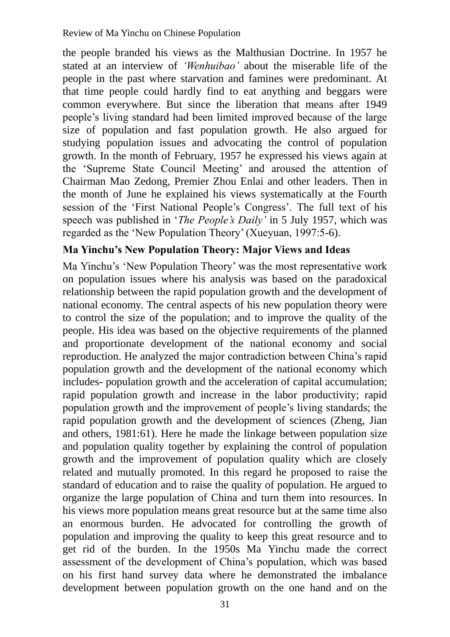the people branded his views as the Malthusian Doctrine. In 1957 he stated at an interview of *"Wenhuibao"* about the miserable life of the people in the past where starvation and famines were predominant. At that time people could hardly find to eat anything and beggars were common everywhere. But since the liberation that means after 1949 people"s living standard had been limited improved because of the large size of population and fast population growth. He also argued for studying population issues and advocating the control of population growth. In the month of February, 1957 he expressed his views again at the "Supreme State Council Meeting" and aroused the attention of Chairman Mao Zedong, Premier Zhou Enlai and other leaders. Then in the month of June he explained his views systematically at the Fourth session of the 'First National People's Congress'. The full text of his speech was published in '*The People's Daily'* in 5 July 1957, which was regarded as the "New Population Theory" (Xueyuan, 1997:5-6).

### **Ma Yinchu's New Population Theory: Major Views and Ideas**

Ma Yinchu"s "New Population Theory" was the most representative work on population issues where his analysis was based on the paradoxical relationship between the rapid population growth and the development of national economy. The central aspects of his new population theory were to control the size of the population; and to improve the quality of the people. His idea was based on the objective requirements of the planned and proportionate development of the national economy and social reproduction. He analyzed the major contradiction between China"s rapid population growth and the development of the national economy which includes- population growth and the acceleration of capital accumulation; rapid population growth and increase in the labor productivity; rapid population growth and the improvement of people"s living standards; the rapid population growth and the development of sciences (Zheng, Jian and others, 1981:61). Here he made the linkage between population size and population quality together by explaining the control of population growth and the improvement of population quality which are closely related and mutually promoted. In this regard he proposed to raise the standard of education and to raise the quality of population. He argued to organize the large population of China and turn them into resources. In his views more population means great resource but at the same time also an enormous burden. He advocated for controlling the growth of population and improving the quality to keep this great resource and to get rid of the burden. In the 1950s Ma Yinchu made the correct assessment of the development of China"s population, which was based on his first hand survey data where he demonstrated the imbalance development between population growth on the one hand and on the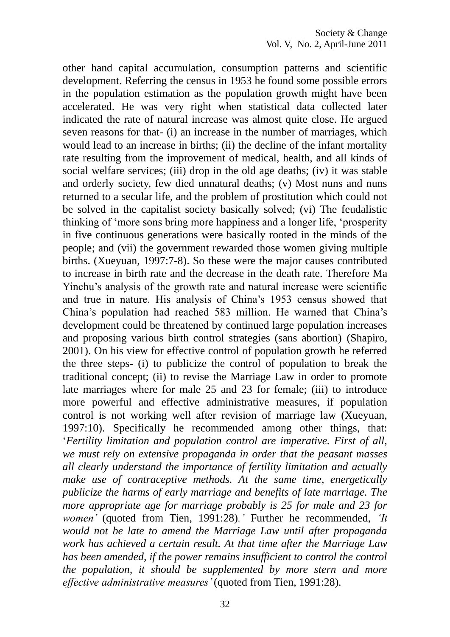other hand capital accumulation, consumption patterns and scientific development. Referring the census in 1953 he found some possible errors in the population estimation as the population growth might have been accelerated. He was very right when statistical data collected later indicated the rate of natural increase was almost quite close. He argued seven reasons for that- (i) an increase in the number of marriages, which would lead to an increase in births; (ii) the decline of the infant mortality rate resulting from the improvement of medical, health, and all kinds of social welfare services; (iii) drop in the old age deaths; (iv) it was stable and orderly society, few died unnatural deaths; (v) Most nuns and nuns returned to a secular life, and the problem of prostitution which could not be solved in the capitalist society basically solved; (vi) The feudalistic thinking of "more sons bring more happiness and a longer life, "prosperity in five continuous generations were basically rooted in the minds of the people; and (vii) the government rewarded those women giving multiple births. (Xueyuan, 1997:7-8). So these were the major causes contributed to increase in birth rate and the decrease in the death rate. Therefore Ma Yinchu's analysis of the growth rate and natural increase were scientific and true in nature. His analysis of China"s 1953 census showed that China"s population had reached 583 million. He warned that China"s development could be threatened by continued large population increases and proposing various birth control strategies (sans abortion) (Shapiro, 2001). On his view for effective control of population growth he referred the three steps- (i) to publicize the control of population to break the traditional concept; (ii) to revise the Marriage Law in order to promote late marriages where for male 25 and 23 for female; (iii) to introduce more powerful and effective administrative measures, if population control is not working well after revision of marriage law (Xueyuan, 1997:10). Specifically he recommended among other things, that: "*Fertility limitation and population control are imperative. First of all, we must rely on extensive propaganda in order that the peasant masses all clearly understand the importance of fertility limitation and actually make use of contraceptive methods. At the same time, energetically publicize the harms of early marriage and benefits of late marriage. The more appropriate age for marriage probably is 25 for male and 23 for women"* (quoted from Tien, 1991:28)*."* Further he recommended, *"It would not be late to amend the Marriage Law until after propaganda work has achieved a certain result. At that time after the Marriage Law has been amended, if the power remains insufficient to control the control the population, it should be supplemented by more stern and more effective administrative measures"* (quoted from Tien, 1991:28).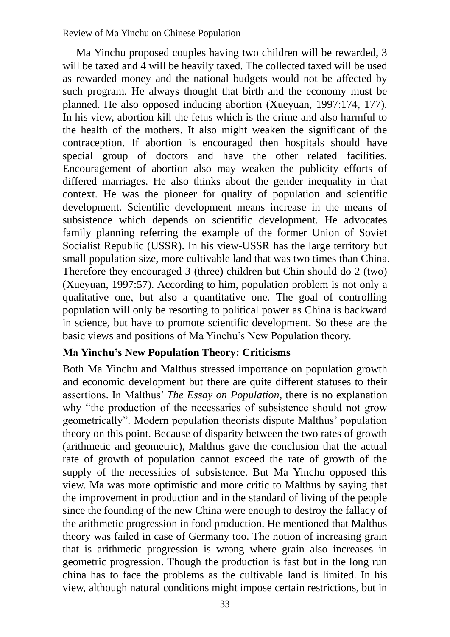Review of Ma Yinchu on Chinese Population

Ma Yinchu proposed couples having two children will be rewarded, 3 will be taxed and 4 will be heavily taxed. The collected taxed will be used as rewarded money and the national budgets would not be affected by such program. He always thought that birth and the economy must be planned. He also opposed inducing abortion (Xueyuan, 1997:174, 177). In his view, abortion kill the fetus which is the crime and also harmful to the health of the mothers. It also might weaken the significant of the contraception. If abortion is encouraged then hospitals should have special group of doctors and have the other related facilities. Encouragement of abortion also may weaken the publicity efforts of differed marriages. He also thinks about the gender inequality in that context. He was the pioneer for quality of population and scientific development. Scientific development means increase in the means of subsistence which depends on scientific development. He advocates family planning referring the example of the former Union of Soviet Socialist Republic (USSR). In his view-USSR has the large territory but small population size, more cultivable land that was two times than China. Therefore they encouraged 3 (three) children but Chin should do 2 (two) (Xueyuan, 1997:57). According to him, population problem is not only a qualitative one, but also a quantitative one. The goal of controlling population will only be resorting to political power as China is backward in science, but have to promote scientific development. So these are the basic views and positions of Ma Yinchu"s New Population theory.

### **Ma Yinchu's New Population Theory: Criticisms**

Both Ma Yinchu and Malthus stressed importance on population growth and economic development but there are quite different statuses to their assertions. In Malthus" *The Essay on Population*, there is no explanation why "the production of the necessaries of subsistence should not grow geometrically". Modern population theorists dispute Malthus" population theory on this point. Because of disparity between the two rates of growth (arithmetic and geometric), Malthus gave the conclusion that the actual rate of growth of population cannot exceed the rate of growth of the supply of the necessities of subsistence. But Ma Yinchu opposed this view. Ma was more optimistic and more critic to Malthus by saying that the improvement in production and in the standard of living of the people since the founding of the new China were enough to destroy the fallacy of the arithmetic progression in food production. He mentioned that Malthus theory was failed in case of Germany too. The notion of increasing grain that is arithmetic progression is wrong where grain also increases in geometric progression. Though the production is fast but in the long run china has to face the problems as the cultivable land is limited. In his view, although natural conditions might impose certain restrictions, but in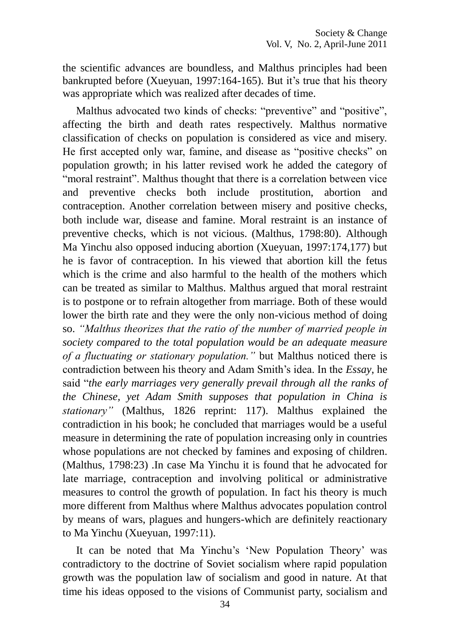the scientific advances are boundless, and Malthus principles had been bankrupted before (Xueyuan, 1997:164-165). But it's true that his theory was appropriate which was realized after decades of time.

Malthus advocated two kinds of checks: "preventive" and "positive", affecting the birth and death rates respectively. Malthus normative classification of checks on population is considered as vice and misery. He first accepted only war, famine, and disease as "positive checks" on population growth; in his latter revised work he added the category of "moral restraint". Malthus thought that there is a correlation between vice and preventive checks both include prostitution, abortion and contraception. Another correlation between misery and positive checks, both include war, disease and famine. Moral restraint is an instance of preventive checks, which is not vicious. (Malthus, 1798:80). Although Ma Yinchu also opposed inducing abortion (Xueyuan, 1997:174,177) but he is favor of contraception. In his viewed that abortion kill the fetus which is the crime and also harmful to the health of the mothers which can be treated as similar to Malthus. Malthus argued that moral restraint is to postpone or to refrain altogether from marriage. Both of these would lower the birth rate and they were the only non-vicious method of doing so. *"Malthus theorizes that the ratio of the number of married people in society compared to the total population would be an adequate measure of a fluctuating or stationary population."* but Malthus noticed there is contradiction between his theory and Adam Smith"s idea. In the *Essay*, he said "*the early marriages very generally prevail through all the ranks of the Chinese, yet Adam Smith supposes that population in China is stationary"* (Malthus, 1826 reprint: 117). Malthus explained the contradiction in his book; he concluded that marriages would be a useful measure in determining the rate of population increasing only in countries whose populations are not checked by famines and exposing of children. (Malthus, 1798:23) .In case Ma Yinchu it is found that he advocated for late marriage, contraception and involving political or administrative measures to control the growth of population. In fact his theory is much more different from Malthus where Malthus advocates population control by means of wars, plagues and hungers-which are definitely reactionary to Ma Yinchu (Xueyuan, 1997:11).

It can be noted that Ma Yinchu's 'New Population Theory' was contradictory to the doctrine of Soviet socialism where rapid population growth was the population law of socialism and good in nature. At that time his ideas opposed to the visions of Communist party, socialism and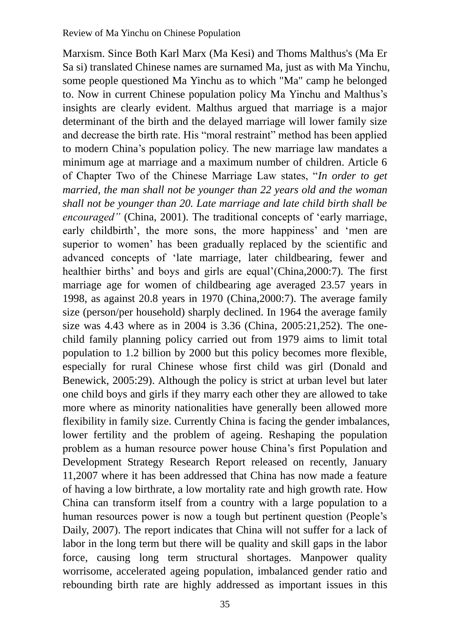Marxism. Since Both Karl Marx (Ma Kesi) and Thoms Malthus's (Ma Er Sa si) translated Chinese names are surnamed Ma, just as with Ma Yinchu, some people questioned Ma Yinchu as to which "Ma" camp he belonged to. Now in current Chinese population policy Ma Yinchu and Malthus"s insights are clearly evident. Malthus argued that marriage is a major determinant of the birth and the delayed marriage will lower family size and decrease the birth rate. His "moral restraint" method has been applied to modern China"s population policy. The new marriage law mandates a minimum age at marriage and a maximum number of children. Article 6 of Chapter Two of the Chinese Marriage Law states, "*In order to get married, the man shall not be younger than 22 years old and the woman shall not be younger than 20. Late marriage and late child birth shall be encouraged"* (China, 2001). The traditional concepts of 'early marriage, early childbirth', the more sons, the more happiness' and 'men are superior to women' has been gradually replaced by the scientific and advanced concepts of "late marriage, later childbearing, fewer and healthier births' and boys and girls are equal'(China, 2000: 7). The first marriage age for women of childbearing age averaged 23.57 years in 1998, as against 20.8 years in 1970 (China,2000:7). The average family size (person/per household) sharply declined. In 1964 the average family size was 4.43 where as in 2004 is 3.36 (China, 2005:21,252). The onechild family planning policy carried out from 1979 aims to limit total population to 1.2 billion by 2000 but this policy becomes more flexible, especially for rural Chinese whose first child was girl (Donald and Benewick, 2005:29). Although the policy is strict at urban level but later one child boys and girls if they marry each other they are allowed to take more where as minority nationalities have generally been allowed more flexibility in family size. Currently China is facing the gender imbalances, lower fertility and the problem of ageing. Reshaping the population problem as a human resource power house China"s first Population and Development Strategy Research Report released on recently, January 11,2007 where it has been addressed that China has now made a feature of having a low birthrate, a low mortality rate and high growth rate. How China can transform itself from a country with a large population to a human resources power is now a tough but pertinent question (People"s Daily, 2007). The report indicates that China will not suffer for a lack of labor in the long term but there will be quality and skill gaps in the labor force, causing long term structural shortages. Manpower quality worrisome, accelerated ageing population, imbalanced gender ratio and rebounding birth rate are highly addressed as important issues in this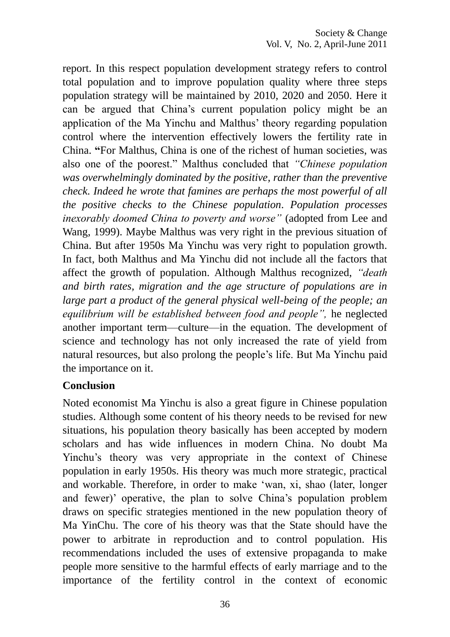report. In this respect population development strategy refers to control total population and to improve population quality where three steps population strategy will be maintained by 2010, 2020 and 2050. Here it can be argued that China"s current population policy might be an application of the Ma Yinchu and Malthus" theory regarding population control where the intervention effectively lowers the fertility rate in China. **"**For Malthus, China is one of the richest of human societies, was also one of the poorest." Malthus concluded that *"Chinese population was overwhelmingly dominated by the positive, rather than the preventive check. Indeed he wrote that famines are perhaps the most powerful of all the positive checks to the Chinese population. Population processes inexorably doomed China to poverty and worse"* (adopted from Lee and Wang, 1999). Maybe Malthus was very right in the previous situation of China. But after 1950s Ma Yinchu was very right to population growth. In fact, both Malthus and Ma Yinchu did not include all the factors that affect the growth of population. Although Malthus recognized, *"death and birth rates, migration and the age structure of populations are in large part a product of the general physical well-being of the people; an equilibrium will be established between food and people",* he neglected another important term—culture—in the equation. The development of science and technology has not only increased the rate of yield from natural resources, but also prolong the people"s life. But Ma Yinchu paid the importance on it.

#### **Conclusion**

Noted economist Ma Yinchu is also a great figure in Chinese population studies. Although some content of his theory needs to be revised for new situations, his population theory basically has been accepted by modern scholars and has wide influences in modern China. No doubt Ma Yinchu's theory was very appropriate in the context of Chinese population in early 1950s. His theory was much more strategic, practical and workable. Therefore, in order to make "wan, xi, shao (later, longer and fewer)' operative, the plan to solve China's population problem draws on specific strategies mentioned in the new population theory of Ma YinChu. The core of his theory was that the State should have the power to arbitrate in reproduction and to control population. His recommendations included the uses of extensive propaganda to make people more sensitive to the harmful effects of early marriage and to the importance of the fertility control in the context of economic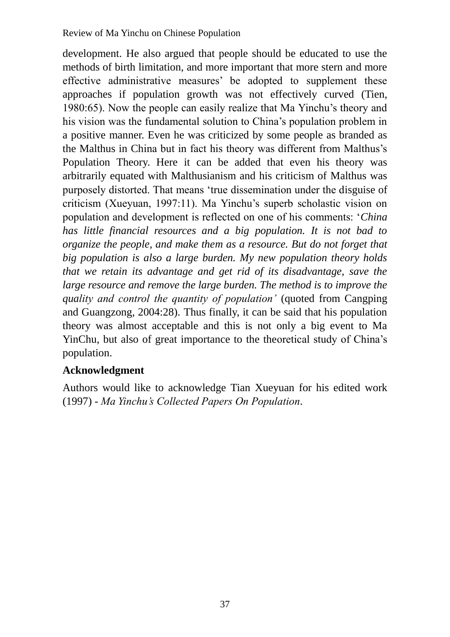development. He also argued that people should be educated to use the methods of birth limitation, and more important that more stern and more effective administrative measures' be adopted to supplement these approaches if population growth was not effectively curved (Tien, 1980:65). Now the people can easily realize that Ma Yinchu"s theory and his vision was the fundamental solution to China"s population problem in a positive manner. Even he was criticized by some people as branded as the Malthus in China but in fact his theory was different from Malthus"s Population Theory. Here it can be added that even his theory was arbitrarily equated with Malthusianism and his criticism of Malthus was purposely distorted. That means "true dissemination under the disguise of criticism (Xueyuan, 1997:11). Ma Yinchu"s superb scholastic vision on population and development is reflected on one of his comments: "*China has little financial resources and a big population. It is not bad to organize the people, and make them as a resource. But do not forget that big population is also a large burden. My new population theory holds that we retain its advantage and get rid of its disadvantage, save the large resource and remove the large burden. The method is to improve the quality and control the quantity of population"* (quoted from Cangping and Guangzong, 2004:28). Thus finally, it can be said that his population theory was almost acceptable and this is not only a big event to Ma YinChu, but also of great importance to the theoretical study of China"s population.

# **Acknowledgment**

Authors would like to acknowledge Tian Xueyuan for his edited work (1997) - *Ma Yinchu"s Collected Papers On Population.*